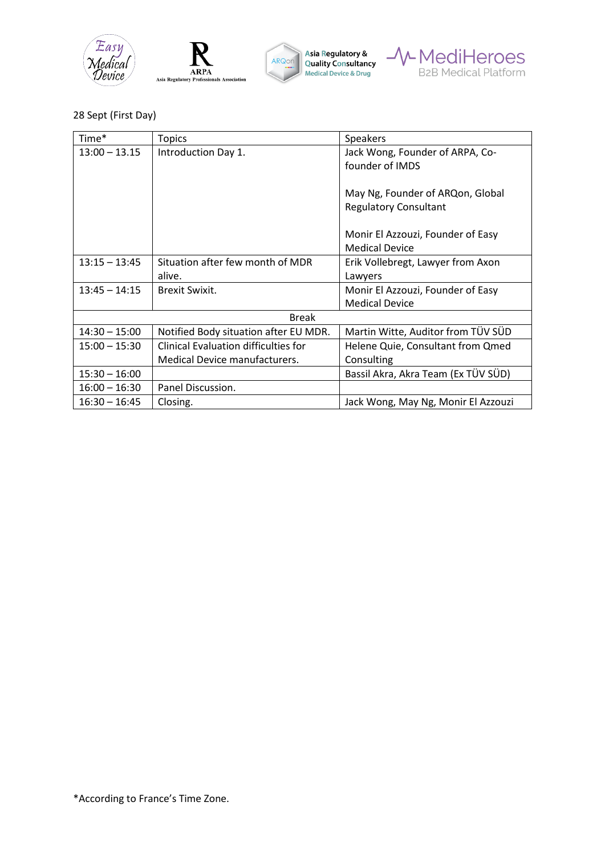







## 28 Sept (First Day)

| Time*           | <b>Topics</b>                               | Speakers                            |  |
|-----------------|---------------------------------------------|-------------------------------------|--|
| $13:00 - 13.15$ | Introduction Day 1.                         | Jack Wong, Founder of ARPA, Co-     |  |
|                 |                                             | founder of IMDS                     |  |
|                 |                                             |                                     |  |
|                 |                                             | May Ng, Founder of ARQon, Global    |  |
|                 |                                             | <b>Regulatory Consultant</b>        |  |
|                 |                                             |                                     |  |
|                 |                                             | Monir El Azzouzi, Founder of Easy   |  |
|                 |                                             | <b>Medical Device</b>               |  |
| $13:15 - 13:45$ | Situation after few month of MDR            | Erik Vollebregt, Lawyer from Axon   |  |
|                 | alive.                                      | Lawyers                             |  |
| $13:45 - 14:15$ | <b>Brexit Swixit.</b>                       | Monir El Azzouzi, Founder of Easy   |  |
|                 |                                             | <b>Medical Device</b>               |  |
| <b>Break</b>    |                                             |                                     |  |
| $14:30 - 15:00$ | Notified Body situation after EU MDR.       | Martin Witte, Auditor from TÜV SÜD  |  |
| $15:00 - 15:30$ | <b>Clinical Evaluation difficulties for</b> | Helene Quie, Consultant from Qmed   |  |
|                 | Medical Device manufacturers.               | Consulting                          |  |
| $15:30 - 16:00$ |                                             | Bassil Akra, Akra Team (Ex TÜV SÜD) |  |
| $16:00 - 16:30$ | Panel Discussion.                           |                                     |  |
| $16:30 - 16:45$ | Closing.                                    | Jack Wong, May Ng, Monir El Azzouzi |  |